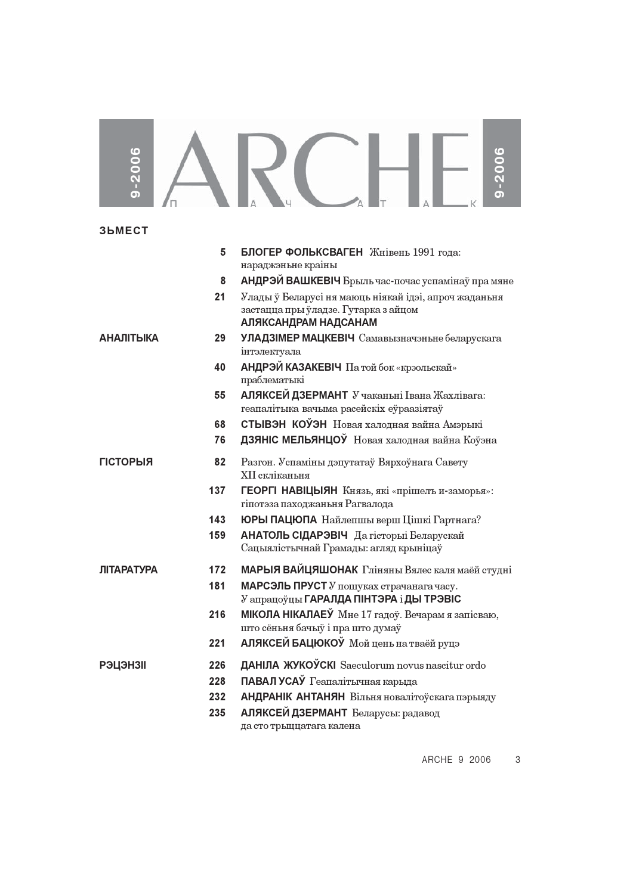## 

**3bMECT** 

|                   | 5   | БЛОГЕР ФОЛЬКСВАГЕН Жнівень 1991 года:                 |
|-------------------|-----|-------------------------------------------------------|
|                   |     | нараджэньне краіны                                    |
|                   | 8   | АНДРЭЙ ВАШКЕВІЧ Брыль час-почас успамінаў пра мяне    |
|                   | 21  | Улады ў Беларусі ня маюць ніякай ідэі, апроч жаданьня |
|                   |     | застацца пры ўладзе. Гутарка з айцом                  |
|                   |     | АЛЯКСАНДРАМ НАДСАНАМ                                  |
| <b>АНАЛІТЫКА</b>  | 29  | <b>УЛАДЗІМЕР МАЦКЕВІЧ</b> Самавызначэньне беларускага |
|                   |     | інтэлектуала                                          |
|                   | 40  | АНДРЭЙ КАЗАКЕВІЧ Па той бок «крэольскай»              |
|                   |     | праблематыкі                                          |
|                   | 55  | АЛЯКСЕЙ ДЗЕРМАНТ У чаканьні Івана Жахлівага:          |
|                   |     | геапалітыка вачыма расейскіх еўраазіятаў              |
|                   | 68  | СТЫВЭН КОЎЭН Новая халодная вайна Амэрыкі             |
|                   | 76  | ДЗЯНІС МЕЛЬЯНЦОЎ Новая халодная вайна Коўэна          |
| <b>ГІСТОРЫЯ</b>   | 82  | Разгон. Успаміны дэпутатаў Вярхоўнага Савету          |
|                   |     | XII скліканьня                                        |
|                   | 137 | ГЕОРГІ НАВІЦЫЯН Князь, які «прішель и-заморья»:       |
|                   |     | гіпотэза паходжаньня Рагвалода                        |
|                   | 143 | ЮРЫ ПАЦЮПА Найлепшы верш Цішкі Гартнага?              |
|                   | 159 | АНАТОЛЬ СІДАРЭВІЧ Да гісторыі Беларускай              |
|                   |     | Сацыялістычнай Грамады: агляд крыніцаў                |
| <b>ЛІТАРАТУРА</b> | 172 | МАРЫЯ ВАЙЦЯШОНАК Гліняны Вялес каля маёй студні       |
|                   | 181 | МАРСЭЛЬ ПРУСТ У пошуках страчанага часу.              |
|                   |     | У апрацоўцы ГАРАЛДА ПІНТЭРА і ДЫ ТРЭВІС               |
|                   | 216 | МІКОЛА НІКАЛАЕЎ Мне 17 гадоў. Вечарам я запісваю,     |
|                   |     | што сёньня бачыў і пра што думаў                      |
|                   | 221 | АЛЯКСЕЙ БАЦЮКОЎ Мой цень на тваёй руцэ                |
| <b>РЭЦЭНЗІІ</b>   | 226 | ДАНІЛА ЖУКОЎСКІ Saeculorum novus nascitur ordo        |
|                   | 228 | ПАВАЛ УСАЎ Геапалітычная карыда                       |
|                   | 232 | АНДРАНІК АНТАНЯН Вільня новалітоўскага пэрыяду        |
|                   | 235 | АЛЯКСЕЙ ДЗЕРМАНТ Беларусы: радавод                    |
|                   |     | да сто трыццатага калена                              |

ARCHE 9 2006  $\mathbf{3}$